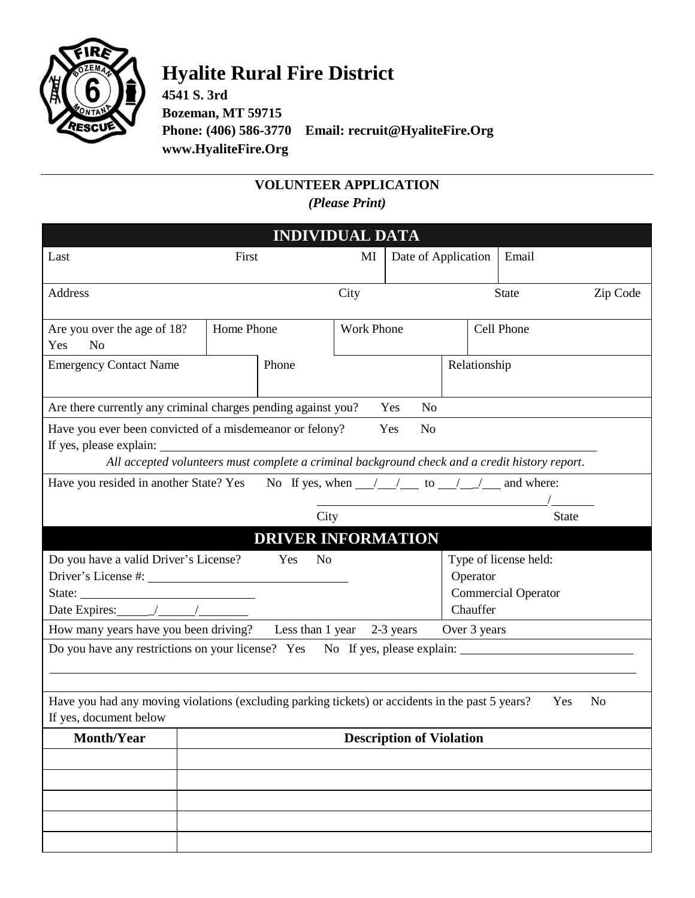

## **Hyalite Rural Fire District**

**4541 S. 3rd Bozeman, MT 59715 Phone: (406) 586-3770 Email: recruit@HyaliteFire.Org www.HyaliteFire.Org**

## **VOLUNTEER APPLICATION** *(Please Print)*

| <b>INDIVIDUAL DATA</b>                                                                                                                                                                                                                                                                                                                                                                                                                                                                                                                                                                   |                                                                                        |                           |                   |                      |                                                     |              |          |
|------------------------------------------------------------------------------------------------------------------------------------------------------------------------------------------------------------------------------------------------------------------------------------------------------------------------------------------------------------------------------------------------------------------------------------------------------------------------------------------------------------------------------------------------------------------------------------------|----------------------------------------------------------------------------------------|---------------------------|-------------------|----------------------|-----------------------------------------------------|--------------|----------|
| Last                                                                                                                                                                                                                                                                                                                                                                                                                                                                                                                                                                                     | First                                                                                  |                           | MI                | Date of Application  |                                                     | Email        |          |
| <b>Address</b>                                                                                                                                                                                                                                                                                                                                                                                                                                                                                                                                                                           |                                                                                        |                           | City              |                      |                                                     | <b>State</b> | Zip Code |
| Are you over the age of 18?<br>N <sub>o</sub><br>Yes                                                                                                                                                                                                                                                                                                                                                                                                                                                                                                                                     | Home Phone                                                                             |                           | <b>Work Phone</b> |                      |                                                     | Cell Phone   |          |
| <b>Emergency Contact Name</b>                                                                                                                                                                                                                                                                                                                                                                                                                                                                                                                                                            |                                                                                        | Phone                     |                   |                      | Relationship                                        |              |          |
|                                                                                                                                                                                                                                                                                                                                                                                                                                                                                                                                                                                          | Are there currently any criminal charges pending against you?<br>Yes<br>N <sub>o</sub> |                           |                   |                      |                                                     |              |          |
| Have you ever been convicted of a misdemeanor or felony?<br>N <sub>o</sub><br>Yes<br>If yes, please explain:<br>All accepted volunteers must complete a criminal background check and a credit history report.                                                                                                                                                                                                                                                                                                                                                                           |                                                                                        |                           |                   |                      |                                                     |              |          |
| Have you resided in another State? Yes<br>No If yes, when $\frac{1}{\sqrt{1-\frac{1}{1-\frac{1}{1-\frac{1}{1-\frac{1}{1-\frac{1}{1-\frac{1}{1-\frac{1}{1-\frac{1}{1-\frac{1}{1-\frac{1}{1-\frac{1}{1-\frac{1}{1-\frac{1}{1-\frac{1}{1-\frac{1}{1-\frac{1}{1-\frac{1}{1-\frac{1}{1-\frac{1}{1-\frac{1}{1-\frac{1}{1-\frac{1}{1-\frac{1}{1-\frac{1}{1-\frac{1}{1-\frac{1}{1-\frac{1}{1-\frac{1}{1-\frac{1}{1-\frac{1}{1-\frac{1}{1-\frac{1}{1-\frac{$                                                                                                                                      |                                                                                        |                           |                   |                      |                                                     |              |          |
|                                                                                                                                                                                                                                                                                                                                                                                                                                                                                                                                                                                          |                                                                                        | City                      |                   |                      |                                                     | <b>State</b> |          |
|                                                                                                                                                                                                                                                                                                                                                                                                                                                                                                                                                                                          |                                                                                        | <b>DRIVER INFORMATION</b> |                   |                      |                                                     |              |          |
| Do you have a valid Driver's License?<br>Yes<br>No<br>State: $\frac{1}{\sqrt{1-\frac{1}{2}} \cdot \frac{1}{2} \cdot \frac{1}{2} \cdot \frac{1}{2} \cdot \frac{1}{2} \cdot \frac{1}{2} \cdot \frac{1}{2} \cdot \frac{1}{2} \cdot \frac{1}{2} \cdot \frac{1}{2} \cdot \frac{1}{2} \cdot \frac{1}{2} \cdot \frac{1}{2} \cdot \frac{1}{2} \cdot \frac{1}{2} \cdot \frac{1}{2} \cdot \frac{1}{2} \cdot \frac{1}{2} \cdot \frac{1}{2} \cdot \frac{1}{2} \cdot \frac{1}{2} \cdot \frac{1}{2} \cdot \frac{1}{2$<br>Date Expires: $\frac{1}{\sqrt{1-\frac{1}{2}}}\frac{1}{\sqrt{1-\frac{1}{2}}}}$ |                                                                                        |                           |                   | Operator<br>Chauffer | Type of license held:<br><b>Commercial Operator</b> |              |          |
| How many years have you been driving? Less than 1 year 2-3 years<br>Over 3 years                                                                                                                                                                                                                                                                                                                                                                                                                                                                                                         |                                                                                        |                           |                   |                      |                                                     |              |          |
| Do you have any restrictions on your license? Yes No If yes, please explain:<br>Have you had any moving violations (excluding parking tickets) or accidents in the past 5 years?<br>N <sub>o</sub><br>Yes<br>If yes, document below                                                                                                                                                                                                                                                                                                                                                      |                                                                                        |                           |                   |                      |                                                     |              |          |
| <b>Month/Year</b>                                                                                                                                                                                                                                                                                                                                                                                                                                                                                                                                                                        | <b>Description of Violation</b>                                                        |                           |                   |                      |                                                     |              |          |
|                                                                                                                                                                                                                                                                                                                                                                                                                                                                                                                                                                                          |                                                                                        |                           |                   |                      |                                                     |              |          |
|                                                                                                                                                                                                                                                                                                                                                                                                                                                                                                                                                                                          |                                                                                        |                           |                   |                      |                                                     |              |          |
|                                                                                                                                                                                                                                                                                                                                                                                                                                                                                                                                                                                          |                                                                                        |                           |                   |                      |                                                     |              |          |
|                                                                                                                                                                                                                                                                                                                                                                                                                                                                                                                                                                                          |                                                                                        |                           |                   |                      |                                                     |              |          |
|                                                                                                                                                                                                                                                                                                                                                                                                                                                                                                                                                                                          |                                                                                        |                           |                   |                      |                                                     |              |          |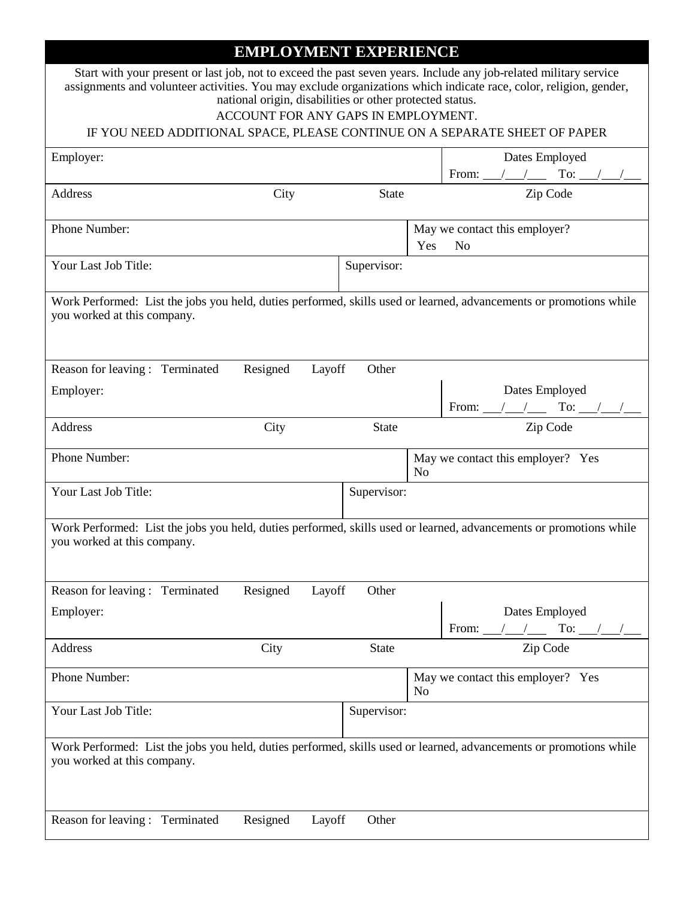## **EMPLOYMENT EXPERIENCE**

|                                                                                                                                                   |          | national origin, disabilities or other protected status.<br>ACCOUNT FOR ANY GAPS IN EMPLOYMENT. | Start with your present or last job, not to exceed the past seven years. Include any job-related military service<br>assignments and volunteer activities. You may exclude organizations which indicate race, color, religion, gender,<br>IF YOU NEED ADDITIONAL SPACE, PLEASE CONTINUE ON A SEPARATE SHEET OF PAPER |  |
|---------------------------------------------------------------------------------------------------------------------------------------------------|----------|-------------------------------------------------------------------------------------------------|----------------------------------------------------------------------------------------------------------------------------------------------------------------------------------------------------------------------------------------------------------------------------------------------------------------------|--|
|                                                                                                                                                   |          |                                                                                                 |                                                                                                                                                                                                                                                                                                                      |  |
| Employer:                                                                                                                                         |          |                                                                                                 | Dates Employed                                                                                                                                                                                                                                                                                                       |  |
| <b>Address</b>                                                                                                                                    | City     | <b>State</b>                                                                                    | Zip Code                                                                                                                                                                                                                                                                                                             |  |
| Phone Number:                                                                                                                                     |          |                                                                                                 | May we contact this employer?<br>Yes<br>N <sub>o</sub>                                                                                                                                                                                                                                                               |  |
| Your Last Job Title:                                                                                                                              |          | Supervisor:                                                                                     |                                                                                                                                                                                                                                                                                                                      |  |
| Work Performed: List the jobs you held, duties performed, skills used or learned, advancements or promotions while<br>you worked at this company. |          |                                                                                                 |                                                                                                                                                                                                                                                                                                                      |  |
| Reason for leaving: Terminated                                                                                                                    | Resigned | Other<br>Layoff                                                                                 |                                                                                                                                                                                                                                                                                                                      |  |
| Employer:                                                                                                                                         |          |                                                                                                 | Dates Employed<br>From: $\_\_\_\_\_\_\_\$ To: $\_\_\_\_\_\_\_\_\_\_\_\$                                                                                                                                                                                                                                              |  |
| Address                                                                                                                                           | City     | <b>State</b>                                                                                    | Zip Code                                                                                                                                                                                                                                                                                                             |  |
| Phone Number:                                                                                                                                     |          |                                                                                                 | May we contact this employer? Yes<br>N <sub>0</sub>                                                                                                                                                                                                                                                                  |  |
| Your Last Job Title:                                                                                                                              |          | Supervisor:                                                                                     |                                                                                                                                                                                                                                                                                                                      |  |
| Work Performed: List the jobs you held, duties performed, skills used or learned, advancements or promotions while<br>you worked at this company. |          |                                                                                                 |                                                                                                                                                                                                                                                                                                                      |  |
| Reason for leaving: Terminated                                                                                                                    | Resigned | Other<br>Layoff                                                                                 |                                                                                                                                                                                                                                                                                                                      |  |
| Employer:                                                                                                                                         |          |                                                                                                 | Dates Employed<br>To:<br>From:                                                                                                                                                                                                                                                                                       |  |
| Address                                                                                                                                           | City     | <b>State</b>                                                                                    | Zip Code                                                                                                                                                                                                                                                                                                             |  |
| Phone Number:                                                                                                                                     |          |                                                                                                 | May we contact this employer? Yes<br>No                                                                                                                                                                                                                                                                              |  |
|                                                                                                                                                   |          |                                                                                                 |                                                                                                                                                                                                                                                                                                                      |  |
| Your Last Job Title:                                                                                                                              |          | Supervisor:                                                                                     |                                                                                                                                                                                                                                                                                                                      |  |
| you worked at this company.                                                                                                                       |          |                                                                                                 | Work Performed: List the jobs you held, duties performed, skills used or learned, advancements or promotions while                                                                                                                                                                                                   |  |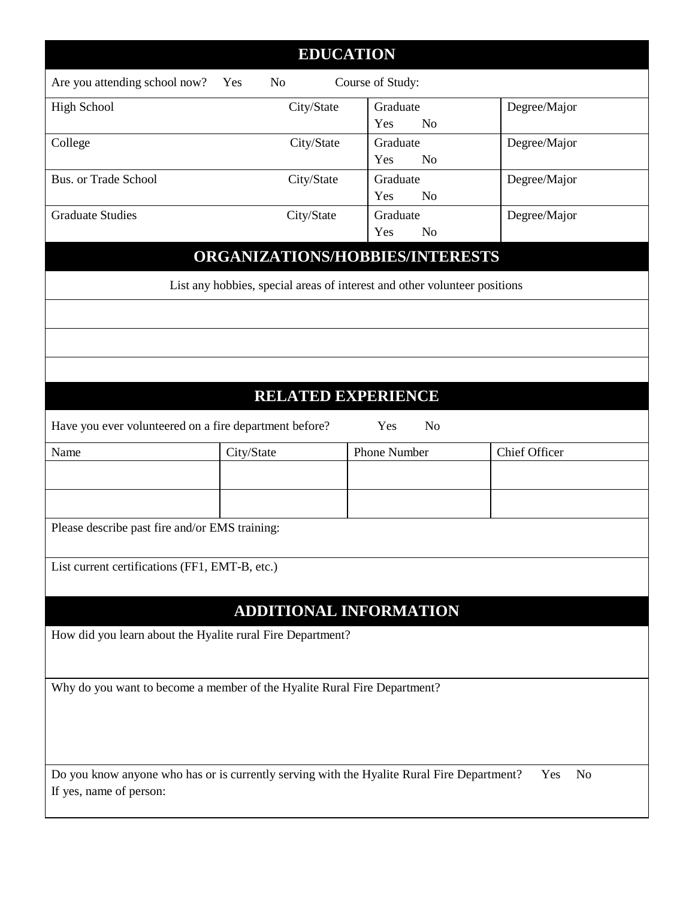| <b>EDUCATION</b>                                                                                                                               |            |                                   |                      |  |
|------------------------------------------------------------------------------------------------------------------------------------------------|------------|-----------------------------------|----------------------|--|
| Are you attending school now?                                                                                                                  | Yes<br>No  | Course of Study:                  |                      |  |
| <b>High School</b>                                                                                                                             | City/State | Graduate<br>Yes<br>N <sub>o</sub> | Degree/Major         |  |
| College                                                                                                                                        | City/State | Graduate<br>Yes<br>N <sub>0</sub> | Degree/Major         |  |
| Bus. or Trade School                                                                                                                           | City/State | Graduate<br>Yes<br>N <sub>o</sub> | Degree/Major         |  |
| <b>Graduate Studies</b>                                                                                                                        | City/State | Graduate<br>Yes<br>N <sub>o</sub> | Degree/Major         |  |
|                                                                                                                                                |            | ORGANIZATIONS/HOBBIES/INTERESTS   |                      |  |
| List any hobbies, special areas of interest and other volunteer positions                                                                      |            |                                   |                      |  |
|                                                                                                                                                |            |                                   |                      |  |
|                                                                                                                                                |            |                                   |                      |  |
|                                                                                                                                                |            |                                   |                      |  |
|                                                                                                                                                |            | <b>RELATED EXPERIENCE</b>         |                      |  |
| Have you ever volunteered on a fire department before?<br>Yes<br>N <sub>o</sub>                                                                |            |                                   |                      |  |
| Name                                                                                                                                           | City/State | Phone Number                      | <b>Chief Officer</b> |  |
|                                                                                                                                                |            |                                   |                      |  |
|                                                                                                                                                |            |                                   |                      |  |
| Please describe past fire and/or EMS training:                                                                                                 |            |                                   |                      |  |
| List current certifications (FF1, EMT-B, etc.)                                                                                                 |            |                                   |                      |  |
|                                                                                                                                                |            |                                   |                      |  |
|                                                                                                                                                |            | ADDITIONAL INFORMATION            |                      |  |
| How did you learn about the Hyalite rural Fire Department?                                                                                     |            |                                   |                      |  |
| Why do you want to become a member of the Hyalite Rural Fire Department?                                                                       |            |                                   |                      |  |
|                                                                                                                                                |            |                                   |                      |  |
|                                                                                                                                                |            |                                   |                      |  |
| Do you know anyone who has or is currently serving with the Hyalite Rural Fire Department?<br>Yes<br>N <sub>o</sub><br>If yes, name of person: |            |                                   |                      |  |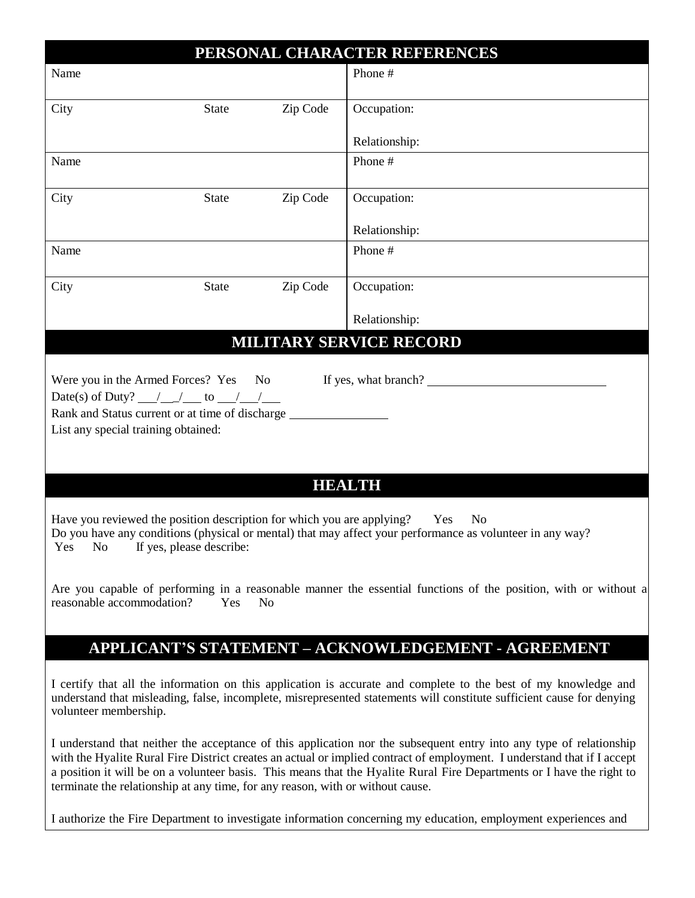| PERSONAL CHARACTER REFERENCES                                                                                                                                                                                                                                                                                                                                                                                                                             |              |          |                                                                                                                |  |
|-----------------------------------------------------------------------------------------------------------------------------------------------------------------------------------------------------------------------------------------------------------------------------------------------------------------------------------------------------------------------------------------------------------------------------------------------------------|--------------|----------|----------------------------------------------------------------------------------------------------------------|--|
| Name                                                                                                                                                                                                                                                                                                                                                                                                                                                      |              |          | Phone #                                                                                                        |  |
| City                                                                                                                                                                                                                                                                                                                                                                                                                                                      | <b>State</b> | Zip Code | Occupation:                                                                                                    |  |
|                                                                                                                                                                                                                                                                                                                                                                                                                                                           |              |          | Relationship:                                                                                                  |  |
| Name                                                                                                                                                                                                                                                                                                                                                                                                                                                      |              |          | Phone #                                                                                                        |  |
| City                                                                                                                                                                                                                                                                                                                                                                                                                                                      | <b>State</b> | Zip Code | Occupation:                                                                                                    |  |
|                                                                                                                                                                                                                                                                                                                                                                                                                                                           |              |          | Relationship:                                                                                                  |  |
| Name                                                                                                                                                                                                                                                                                                                                                                                                                                                      |              |          | Phone #                                                                                                        |  |
| City                                                                                                                                                                                                                                                                                                                                                                                                                                                      | <b>State</b> | Zip Code | Occupation:                                                                                                    |  |
|                                                                                                                                                                                                                                                                                                                                                                                                                                                           |              |          | Relationship:                                                                                                  |  |
|                                                                                                                                                                                                                                                                                                                                                                                                                                                           |              |          | <b>MILITARY SERVICE RECORD</b>                                                                                 |  |
| Rank and Status current or at time of discharge _________________________________<br>List any special training obtained:                                                                                                                                                                                                                                                                                                                                  |              |          |                                                                                                                |  |
|                                                                                                                                                                                                                                                                                                                                                                                                                                                           |              |          | <b>HEALTH</b>                                                                                                  |  |
| Have you reviewed the position description for which you are applying?<br>Yes<br>N <sub>o</sub><br>Do you have any conditions (physical or mental) that may affect your performance as volunteer in any way?<br>Yes No If yes, please describe:                                                                                                                                                                                                           |              |          |                                                                                                                |  |
| Are you capable of performing in a reasonable manner the essential functions of the position, with or without a<br>reasonable accommodation?<br>Yes<br>N <sub>0</sub>                                                                                                                                                                                                                                                                                     |              |          |                                                                                                                |  |
|                                                                                                                                                                                                                                                                                                                                                                                                                                                           |              |          | <b>APPLICANT'S STATEMENT - ACKNOWLEDGEMENT - AGREEMENT</b>                                                     |  |
| I certify that all the information on this application is accurate and complete to the best of my knowledge and<br>understand that misleading, false, incomplete, misrepresented statements will constitute sufficient cause for denying<br>volunteer membership.                                                                                                                                                                                         |              |          |                                                                                                                |  |
| I understand that neither the acceptance of this application nor the subsequent entry into any type of relationship<br>with the Hyalite Rural Fire District creates an actual or implied contract of employment. I understand that if I accept<br>a position it will be on a volunteer basis. This means that the Hyalite Rural Fire Departments or I have the right to<br>terminate the relationship at any time, for any reason, with or without cause. |              |          |                                                                                                                |  |
|                                                                                                                                                                                                                                                                                                                                                                                                                                                           |              |          | I authorize the Fire Department to investigate information concerning my education, employment experiences and |  |